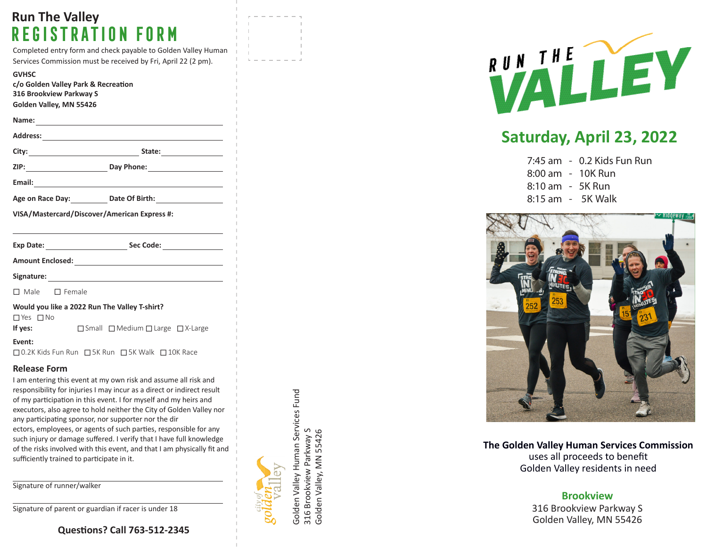# **Run The Valley Registration Form**

Completed entry form and check payable to Golden Valley Human Services Commission must be received by Fri, April 22 (2 pm).

**Address:**

**c/o Golden Valley Park & Recreation 316 Brookview Parkway S Golden Valley, MN 55426**

**Name:**

| mι |  |  |  |
|----|--|--|--|
|    |  |  |  |
|    |  |  |  |

| City:<br>٠ | $\mathbf{L}$<br>лате |  |  |
|------------|----------------------|--|--|
|            |                      |  |  |

**ZIP: Day Phone:**

**Email:**

| Age on Race Day: | Date Of Birth: |
|------------------|----------------|
|------------------|----------------|

**VISA/Mastercard/Discover/American Express #:**

| Exp Date: | Sec Code: |  |
|-----------|-----------|--|
|           |           |  |

**Amount Enclosed:**

**Signature:**

□ Male □ Female

|  | Would you like a 2022 Run The Valley T-shirt? |
|--|-----------------------------------------------|
|  |                                               |

 $\Box$  Yes  $\Box$  No

**If yes:** □ Small □ Medium □ Large □ X-Large

**Event:**

□ 0.2K Kids Fun Run □ 5K Run □ 5K Walk □ 10K Race

#### **Release Form**

I am entering this event at my own risk and assume all risk and responsibility for injuries I may incur as a direct or indirect result of my participation in this event. I for myself and my heirs and executors, also agree to hold neither the City of Golden Valley nor any participating sponsor, nor supporter nor the dir ectors, employees, or agents of such parties, responsible for any such injury or damage suffered. I verify that I have full knowledge of the risks involved with this event, and that I am physically fit and sufficiently trained to participate in it.

Signature of runner/walker

Signature of parent or guardian if racer is under 18

### **Questions? Call 763-512-2345**

Golden Valley Human Services Fund Golden Valley Human Services Fund 316 Brookview Parkway S<br>Golden Valley, MN 55426 316 Brookview Parkway S Golden Valley, MN 55426



# **Saturday, April 23, 2022**

- 7:45 am 0.2 Kids Fun Run
- 8:00 am 10K Run
- 8:10 am 5K Run
- 8:15 am 5K Walk



**The Golden Valley Human Services Commission** uses all proceeds to benefit Golden Valley residents in need

### **Brookview**

316 Brookview Parkway S Golden Valley, MN 55426